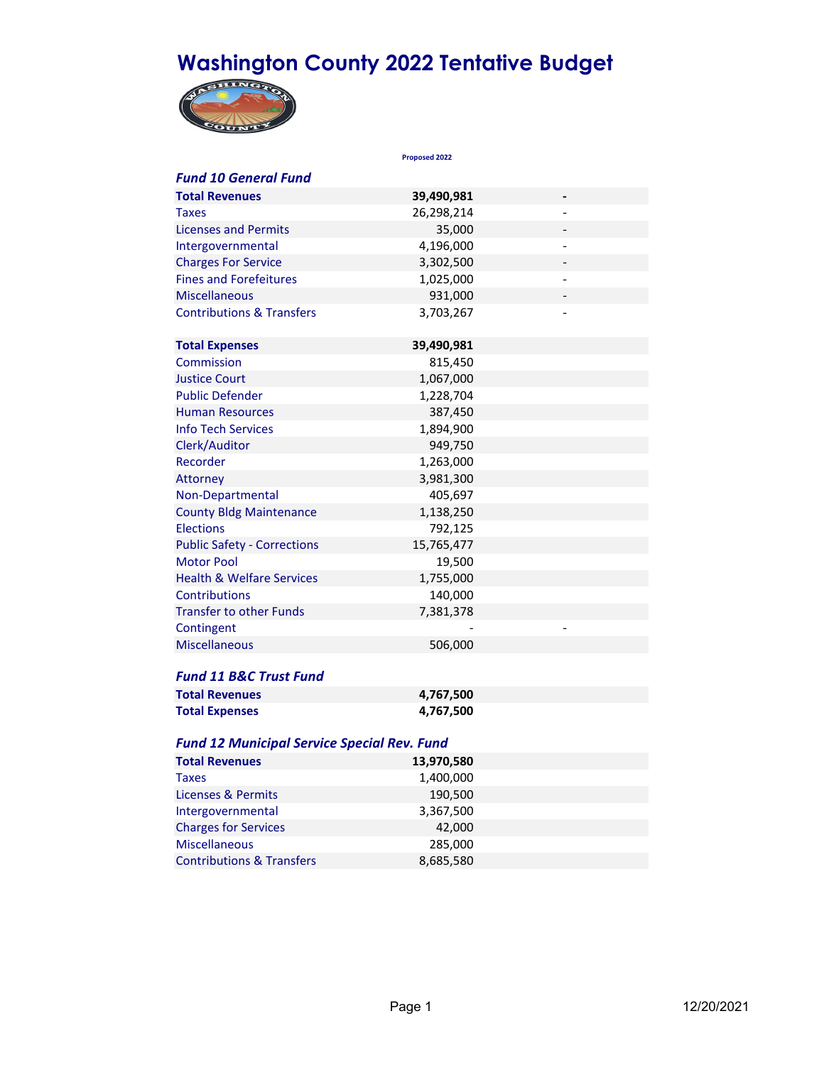# **Washington County 2022 Tentative Budget**



|                                                    | Proposed 2022 |                              |  |
|----------------------------------------------------|---------------|------------------------------|--|
| <b>Fund 10 General Fund</b>                        |               |                              |  |
| <b>Total Revenues</b>                              | 39,490,981    | $\qquad \qquad \blacksquare$ |  |
| Taxes                                              | 26,298,214    |                              |  |
| <b>Licenses and Permits</b>                        | 35,000        |                              |  |
| Intergovernmental                                  | 4,196,000     |                              |  |
| <b>Charges For Service</b>                         | 3,302,500     |                              |  |
| <b>Fines and Forefeitures</b>                      | 1,025,000     | $\overline{\phantom{a}}$     |  |
| <b>Miscellaneous</b>                               | 931,000       |                              |  |
| <b>Contributions &amp; Transfers</b>               | 3,703,267     |                              |  |
| <b>Total Expenses</b>                              | 39,490,981    |                              |  |
| Commission                                         | 815,450       |                              |  |
| <b>Justice Court</b>                               | 1,067,000     |                              |  |
| <b>Public Defender</b>                             | 1,228,704     |                              |  |
| <b>Human Resources</b>                             | 387,450       |                              |  |
| <b>Info Tech Services</b>                          | 1,894,900     |                              |  |
| Clerk/Auditor                                      | 949,750       |                              |  |
| Recorder                                           | 1,263,000     |                              |  |
| Attorney                                           | 3,981,300     |                              |  |
| Non-Departmental                                   | 405,697       |                              |  |
| <b>County Bldg Maintenance</b>                     | 1,138,250     |                              |  |
| <b>Elections</b>                                   | 792,125       |                              |  |
| <b>Public Safety - Corrections</b>                 | 15,765,477    |                              |  |
| <b>Motor Pool</b>                                  | 19,500        |                              |  |
| <b>Health &amp; Welfare Services</b>               | 1,755,000     |                              |  |
| Contributions                                      | 140,000       |                              |  |
| <b>Transfer to other Funds</b>                     | 7,381,378     |                              |  |
| Contingent                                         |               |                              |  |
| <b>Miscellaneous</b>                               | 506,000       |                              |  |
|                                                    |               |                              |  |
| <b>Fund 11 B&amp;C Trust Fund</b>                  |               |                              |  |
| <b>Total Revenues</b>                              | 4,767,500     |                              |  |
| <b>Total Expenses</b>                              | 4,767,500     |                              |  |
| <b>Fund 12 Municipal Service Special Rev. Fund</b> |               |                              |  |
| <b>Total Revenues</b>                              | 13,970,580    |                              |  |
| <b>Taxes</b>                                       | 1,400,000     |                              |  |
| Licenses & Permits                                 | 190,500       |                              |  |
| Intergovernmental                                  | 3,367,500     |                              |  |
| <b>Charges for Services</b>                        | 42,000        |                              |  |
| <b>Miscellaneous</b>                               | 285,000       |                              |  |

Contributions & Transfers 8,685,580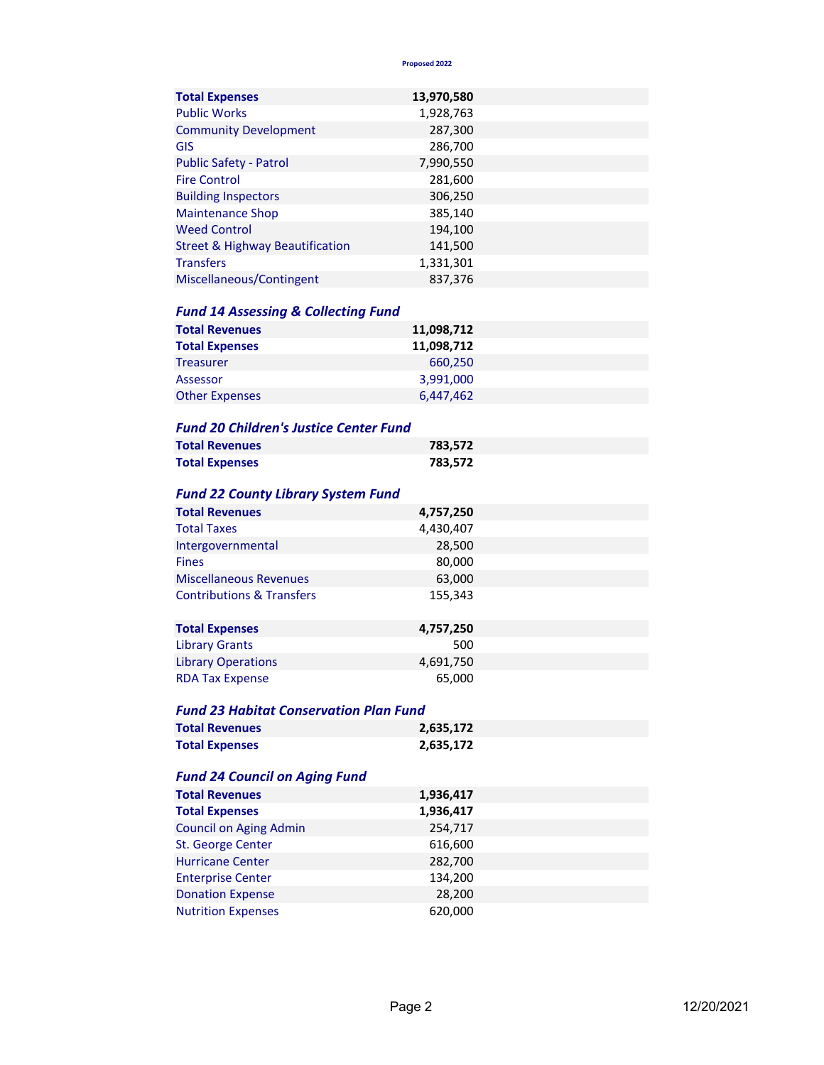**Proposed 2022**

| <b>Total Expenses</b>                      | 13,970,580 |  |
|--------------------------------------------|------------|--|
| <b>Public Works</b>                        | 1,928,763  |  |
| <b>Community Development</b>               | 287,300    |  |
| GIS                                        | 286,700    |  |
| <b>Public Safety - Patrol</b>              | 7,990,550  |  |
| <b>Fire Control</b>                        | 281,600    |  |
| <b>Building Inspectors</b>                 | 306,250    |  |
| <b>Maintenance Shop</b>                    | 385,140    |  |
| <b>Weed Control</b>                        | 194,100    |  |
| <b>Street &amp; Highway Beautification</b> | 141,500    |  |
| <b>Transfers</b>                           | 1,331,301  |  |
| Miscellaneous/Contingent                   | 837,376    |  |

### *Fund 14 Assessing & Collecting Fund*

| <b>Total Revenues</b> | 11,098,712 |  |
|-----------------------|------------|--|
| <b>Total Expenses</b> | 11,098,712 |  |
| <b>Treasurer</b>      | 660.250    |  |
| Assessor              | 3,991,000  |  |
| <b>Other Expenses</b> | 6,447,462  |  |

#### *Fund 20 Children's Justice Center Fund*

| <b>Total Revenues</b> | 783.572 |
|-----------------------|---------|
| <b>Total Expenses</b> | 783,572 |

#### *Fund 22 County Library System Fund*

| <b>Total Revenues</b>                | 4,757,250 |  |
|--------------------------------------|-----------|--|
| <b>Total Taxes</b>                   | 4,430,407 |  |
| Intergovernmental                    | 28,500    |  |
| <b>Fines</b>                         | 80,000    |  |
| <b>Miscellaneous Revenues</b>        | 63,000    |  |
| <b>Contributions &amp; Transfers</b> | 155,343   |  |
|                                      |           |  |
| <b>Total Expenses</b>                | 4,757,250 |  |

|                           | .,, .,    |  |
|---------------------------|-----------|--|
| <b>Library Grants</b>     | 500       |  |
| <b>Library Operations</b> | 4,691,750 |  |
| <b>RDA Tax Expense</b>    | 65.000    |  |

## *Fund 23 Habitat Conservation Plan Fund*

| <b>Total Revenues</b> | 2,635,172 |
|-----------------------|-----------|
| <b>Total Expenses</b> | 2,635,172 |

# *Fund 24 Council on Aging Fund*

| <b>Total Revenues</b>         | 1,936,417 |  |
|-------------------------------|-----------|--|
| <b>Total Expenses</b>         | 1,936,417 |  |
| <b>Council on Aging Admin</b> | 254,717   |  |
| St. George Center             | 616,600   |  |
| <b>Hurricane Center</b>       | 282,700   |  |
| <b>Enterprise Center</b>      | 134,200   |  |
| <b>Donation Expense</b>       | 28,200    |  |
| <b>Nutrition Expenses</b>     | 620,000   |  |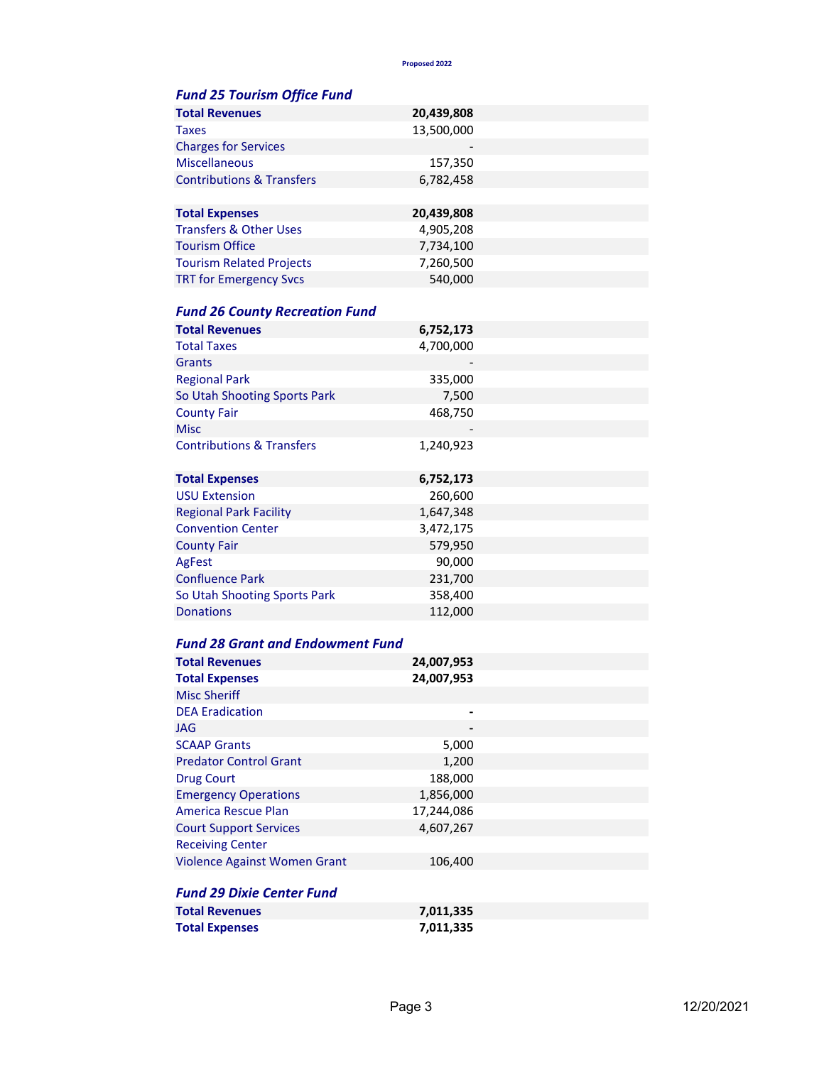**Proposed 2022**

| <b>Fund 25 Tourism Office Fund</b>      |            |  |
|-----------------------------------------|------------|--|
| <b>Total Revenues</b>                   | 20,439,808 |  |
| Taxes                                   | 13,500,000 |  |
| <b>Charges for Services</b>             |            |  |
| <b>Miscellaneous</b>                    | 157,350    |  |
| <b>Contributions &amp; Transfers</b>    | 6,782,458  |  |
|                                         |            |  |
| <b>Total Expenses</b>                   | 20,439,808 |  |
| <b>Transfers &amp; Other Uses</b>       | 4,905,208  |  |
| <b>Tourism Office</b>                   | 7,734,100  |  |
| <b>Tourism Related Projects</b>         | 7,260,500  |  |
| <b>TRT for Emergency Svcs</b>           | 540,000    |  |
|                                         |            |  |
| <b>Fund 26 County Recreation Fund</b>   |            |  |
| <b>Total Revenues</b>                   | 6,752,173  |  |
| <b>Total Taxes</b>                      | 4,700,000  |  |
| Grants                                  |            |  |
| <b>Regional Park</b>                    | 335,000    |  |
| So Utah Shooting Sports Park            | 7,500      |  |
| <b>County Fair</b>                      | 468,750    |  |
| <b>Misc</b>                             |            |  |
| <b>Contributions &amp; Transfers</b>    | 1,240,923  |  |
|                                         |            |  |
| <b>Total Expenses</b>                   | 6,752,173  |  |
| <b>USU Extension</b>                    | 260,600    |  |
| <b>Regional Park Facility</b>           | 1,647,348  |  |
| <b>Convention Center</b>                | 3,472,175  |  |
| <b>County Fair</b>                      | 579,950    |  |
| AgFest                                  | 90,000     |  |
| <b>Confluence Park</b>                  | 231,700    |  |
| So Utah Shooting Sports Park            | 358,400    |  |
| <b>Donations</b>                        | 112,000    |  |
|                                         |            |  |
| <b>Fund 28 Grant and Endowment Fund</b> |            |  |
| <b>Total Revenues</b>                   | 24,007,953 |  |
| <b>Total Expenses</b>                   | 24,007,953 |  |
| <b>Misc Sheriff</b>                     |            |  |
| <b>DEA Eradication</b>                  |            |  |
| <b>JAG</b>                              |            |  |
| <b>SCAAP Grants</b>                     | 5,000      |  |
| <b>Predator Control Grant</b>           | 1,200      |  |
| <b>Drug Court</b>                       | 188,000    |  |
| <b>Emergency Operations</b>             | 1,856,000  |  |
| <b>America Rescue Plan</b>              | 17,244,086 |  |
| <b>Court Support Services</b>           | 4,607,267  |  |
| <b>Receiving Center</b>                 |            |  |
| Violence Against Women Grant            | 106,400    |  |
|                                         |            |  |
| <b>Fund 29 Dixie Center Fund</b>        |            |  |
| <b>Total Revenues</b>                   | 7,011,335  |  |
| <b>Total Expenses</b>                   | 7,011,335  |  |